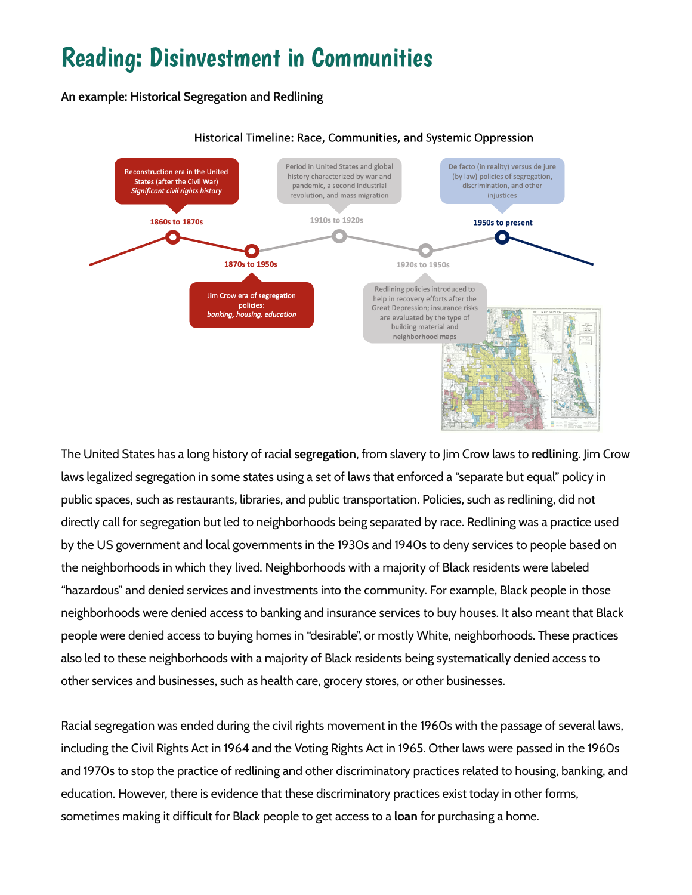# Reading: Disinvestment in Communities

**An example: Historical Segregation and Redlining**



#### Historical Timeline: Race, Communities, and Systemic Oppression

The United States has a long history of racial **segregation**, from slavery to Jim Crow laws to **redlining**. Jim Crow laws legalized segregation in some states using a set of laws that enforced a "separate but equal" policy in public spaces, such as restaurants, libraries, and public transportation. Policies, such as redlining, did not directly call for segregation but led to neighborhoods being separated by race. Redlining was a practice used by the US government and local governments in the 1930s and 1940s to deny services to people based on the neighborhoods in which they lived. Neighborhoods with a majority of Black residents were labeled "hazardous" and denied services and investments into the community. For example, Black people in those neighborhoods were denied access to banking and insurance services to buy houses. It also meant that Black people were denied access to buying homes in "desirable", or mostly White, neighborhoods. These practices also led to these neighborhoods with a majority of Black residents being systematically denied access to other services and businesses, such as health care, grocery stores, or other businesses.

Racial segregation was ended during the civil rights movement in the 1960s with the passage of several laws, including the Civil Rights Act in 1964 and the Voting Rights Act in 1965. Other laws were passed in the 1960s and 1970s to stop the practice of redlining and other discriminatory practices related to housing, banking, and education. However, there is evidence that these discriminatory practices exist today in other forms, sometimes making it difficult for Black people to get access to a **loan** for purchasing a home.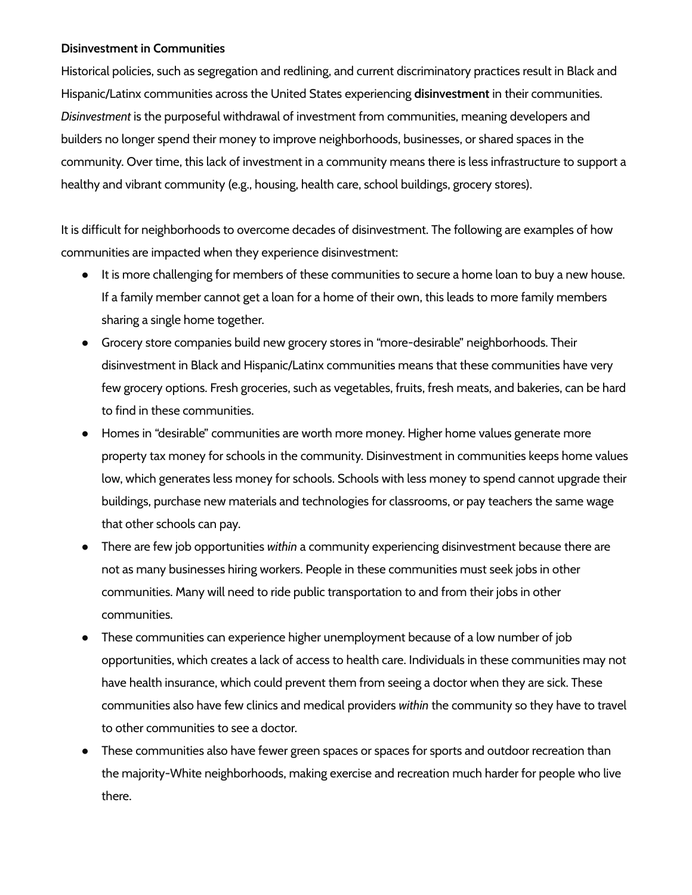### **Disinvestment in Communities**

Historical policies, such as segregation and redlining, and current discriminatory practices result in Black and Hispanic/Latinx communities across the United States experiencing **disinvestment** in their communities. *Disinvestment* is the purposeful withdrawal of investment from communities, meaning developers and builders no longer spend their money to improve neighborhoods, businesses, or shared spaces in the community. Over time, this lack of investment in a community means there is less infrastructure to support a healthy and vibrant community (e.g., housing, health care, school buildings, grocery stores).

It is difficult for neighborhoods to overcome decades of disinvestment. The following are examples of how communities are impacted when they experience disinvestment:

- It is more challenging for members of these communities to secure a home loan to buy a new house. If a family member cannot get a loan for a home of their own, this leads to more family members sharing a single home together.
- Grocery store companies build new grocery stores in "more-desirable" neighborhoods. Their disinvestment in Black and Hispanic/Latinx communities means that these communities have very few grocery options. Fresh groceries, such as vegetables, fruits, fresh meats, and bakeries, can be hard to find in these communities.
- Homes in "desirable" communities are worth more money. Higher home values generate more property tax money for schools in the community. Disinvestment in communities keeps home values low, which generates less money for schools. Schools with less money to spend cannot upgrade their buildings, purchase new materials and technologies for classrooms, or pay teachers the same wage that other schools can pay.
- There are few job opportunities *within* a community experiencing disinvestment because there are not as many businesses hiring workers. People in these communities must seek jobs in other communities. Many will need to ride public transportation to and from their jobs in other communities.
- These communities can experience higher unemployment because of a low number of job opportunities, which creates a lack of access to health care. Individuals in these communities may not have health insurance, which could prevent them from seeing a doctor when they are sick. These communities also have few clinics and medical providers *within* the community so they have to travel to other communities to see a doctor.
- These communities also have fewer green spaces or spaces for sports and outdoor recreation than the majority-White neighborhoods, making exercise and recreation much harder for people who live there.